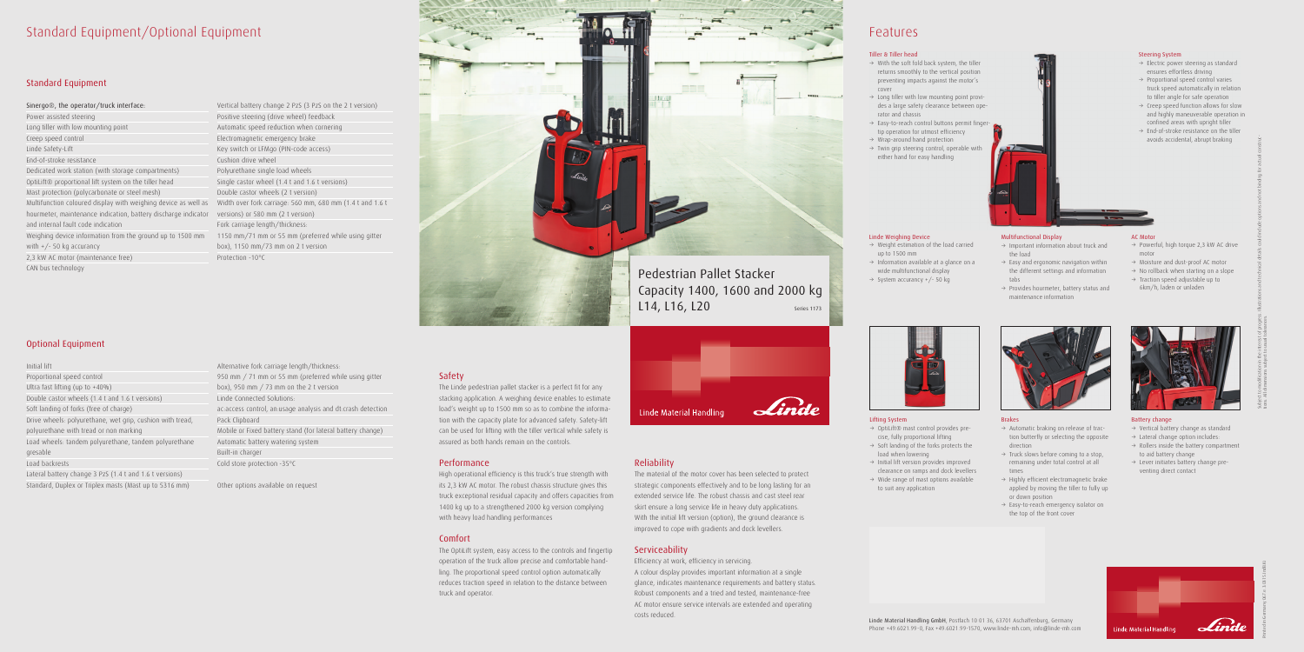## Standard Equipment/Optional Equipment

Sinergo®, the operator/truck interface: Power assisted steering Long tiller with low mounting point Creep speed control Linde Safety-Lift End-of-stroke resistance Dedicated work station (with storage compartments) OptiLift® proportional lift system on the tiller head Mast protection (polycarbonate or steel mesh) Multifunction coloured display with weighing device as well as Width over fork carriage: 560 mm, 680 mm (1.4 t and 1.6 t hourmeter, maintenance indication, battery discharge indicator versions) or 580 mm (2 t version) and internal fault code indication Weighing device information from the ground up to 1500 mm 1150 mm/71 mm or 55 mm (preferred while using gitter with  $+/- 50$  kg accurancy

### Standard Equipment

2,3 kW AC motor (maintenance free) CAN bus technology

### Optional Equipment

#### Initial lift

Proportional speed control Ultra fast lifting (up to +40%) Double castor wheels (1.4 t and 1.6 t versions) Soft landing of forks (free of charge) Drive wheels: polyurethane, wet grip, cushion with tread, polyurethane with tread or non marking Load wheels: tandem polyurethane, tandem polyurethane gresable Load backrests

Lateral battery change 3 PzS (1.4 t and 1.6 t versions) Standard, Duplex or Triplex masts (Mast up to 5316 mm)

Vertical battery change 2 PzS (3 PzS on the 2 t version) Positive steering (drive wheel) feedback Automatic speed reduction when cornering Electromagnetic emergency brake Key switch or LFMgo (PIN-code access) Cushion drive wheel Polyurethane single load wheels Single castor wheel (1.4 t and 1.6 t versions) Double castor wheels (2 t version) Fork carriage length/thickness: box), 1150 mm/73 mm on 2 t version Protection -10°C



Alternative fork carriage length/thickness: 950 mm / 71 mm or 55 mm (preferred while using gitter box), 950 mm / 73 mm on the 2 t version Linde Connected Solutions: ac:access control, an:usage analysis and dt:crash detection Pack Clipboard Mobile or Fixed battery stand (for lateral battery change) Automatic battery watering system Built-in charger Cold store protection -35°C

- $\rightarrow$  OptiLift® mast control provides precise, fully proportional lifting  $\rightarrow$  Soft landing of the forks protects the
- load when lowering  $\rightarrow$  Initial lift version provides improved
- clearance on ramps and dock levellers
- $\rightarrow$  Wide range of mast options available to suit any application



Other options available on request

### Safety

The Linde pedestrian pallet stacker is a perfect fit for any stacking application. A weighing device enables to estimate load's weight up to 1500 mm so as to combine the information with the capacity plate for advanced safety. Safety-lift can be used for lifting with the tiller vertical while safety is assured as both hands remain on the controls.

- $\rightarrow$  Automatic braking on release of traction butterfly or selecting the opposite direction
- $\rightarrow$  Truck slows before coming to a stop, remaining under total control at all times
- $\rightarrow$  Highly efficient electromagnetic brake applied by moving the tiller to fully up or down position
- $\rightarrow$  Easy-to-reach emergency isolator on the top of the front cover



- $\rightarrow$  Powerful, high torque 2,3 kW AC drive motor
- $\rightarrow$  Moisture and dust-proof AC motor
- $\rightarrow$  No rollback when starting on a slope
- $\rightarrow$  Traction speed adjustable up to 6km/h, laden or unladen



### Performance

- $\rightarrow$  Vertical battery change as standard
- $\rightarrow$  Lateral change option includes:
- $\rightarrow$  Rollers inside the battery compartment to aid battery change
- $\rightarrow$  Lever initiates battery change preventing direct contact





High operational efficiency is this truck's true strength with its 2,3 kW AC motor. The robust chassis structure gives this truck exceptional residual capacity and offers capacities from 1400 kg up to a strengthened 2000 kg version complying with heavy load handling performances

### Comfort

- $\rightarrow$  Electric power steering as standard ensures effortless driving
- $\rightarrow$  Proportional speed control varies truck speed automatically in relation to tiller angle for safe operation
- $\rightarrow$  Creep speed function allows for slow and highly maneuverable operation in confined areas with upright tiller
- $\rightarrow$  End-of-stroke resistance on the tiller avoids accidental, abrupt braking

The OptiLift system, easy access to the controls and fingertip operation of the truck allow precise and comfortable handling. The proportional speed control option automatically reduces traction speed in relation to the distance between truck and operator.

### Reliability

- $\rightarrow$  With the soft fold back system, the tiller returns smoothly to the vertical position preventing impacts against the motor's cover
- $\rightarrow$  Long tiller with low mounting point provides a large safety clearance between operator and chassis
- $\rightarrow$  Easy-to-reach control buttons permit fingertip operation for utmost efficiency
- $\rightarrow$  Wrap-around hand protection
- $\rightarrow$  Twin grip steering control, operable with either hand for easy handling

### Pedestrian Pallet Stacker Capacity 1400, 1600 and 2000 kg L14, L16, L20 Series 1173





The material of the motor cover has been selected to protect strategic components effectively and to be long lasting for an extended service life. The robust chassis and cast steel rear skirt ensure a long service life in heavy duty applications. With the initial lift version (option), the ground clearance is improved to cope with gradients and dock levellers.

### Serviceability

Efficiency at work, efficiency in servicing. A colour display provides important information at a single glance, indicates maintenance requirements and battery status. Robust components and a tried and tested, maintenance-free AC motor ensure service intervals are extended and operating costs reduced.



## Features

Linde Material Handling GmbH, Postfach 10 01 36, 63701 Aschaffenburg, Germany Phone +49.6021.99-0, Fax +49.6021.99-1570, www.linde-mh.com, info@linde-mh.com

### Lifting System

### Linde Weighing Device

- $\rightarrow$  Weight estimation of the load carried up to 1500 mm
- $\rightarrow$  Information available at a glance on a wide multifunctional display
- $\rightarrow$  System accurancy +/- 50 kg

### Brakes

### AC Motor

### Battery change



### Steering System



- the load
- $\rightarrow$  Easy and ergonomic navigation within the different settings and information tabs
- $\rightarrow$  Provides hourmeter, battery status and maintenance information

### Tiller & Tiller head